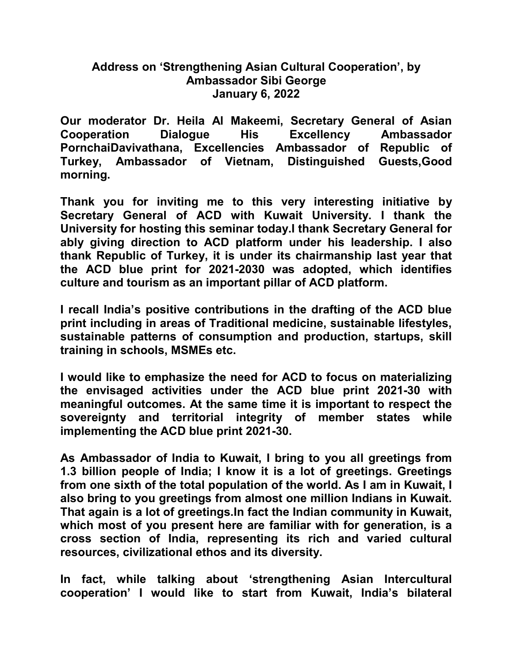## Address on 'Strengthening Asian Cultural Cooperation', by Ambassador Sibi George January 6, 2022

Our moderator Dr. Heila Al Makeemi, Secretary General of Asian Cooperation Dialogue His Excellency Ambassador PornchaiDavivathana, Excellencies Ambassador of Republic of Turkey, Ambassador of Vietnam, Distinguished Guests,Good morning.

Thank you for inviting me to this very interesting initiative by Secretary General of ACD with Kuwait University. I thank the University for hosting this seminar today.I thank Secretary General for ably giving direction to ACD platform under his leadership. I also thank Republic of Turkey, it is under its chairmanship last year that the ACD blue print for 2021-2030 was adopted, which identifies culture and tourism as an important pillar of ACD platform.

I recall India's positive contributions in the drafting of the ACD blue print including in areas of Traditional medicine, sustainable lifestyles, sustainable patterns of consumption and production, startups, skill training in schools, MSMEs etc.

I would like to emphasize the need for ACD to focus on materializing the envisaged activities under the ACD blue print 2021-30 with meaningful outcomes. At the same time it is important to respect the sovereignty and territorial integrity of member states while implementing the ACD blue print 2021-30.

As Ambassador of India to Kuwait, I bring to you all greetings from 1.3 billion people of India; I know it is a lot of greetings. Greetings from one sixth of the total population of the world. As I am in Kuwait, I also bring to you greetings from almost one million Indians in Kuwait. That again is a lot of greetings.In fact the Indian community in Kuwait, which most of you present here are familiar with for generation, is a cross section of India, representing its rich and varied cultural resources, civilizational ethos and its diversity.

In fact, while talking about 'strengthening Asian Intercultural cooperation' I would like to start from Kuwait, India's bilateral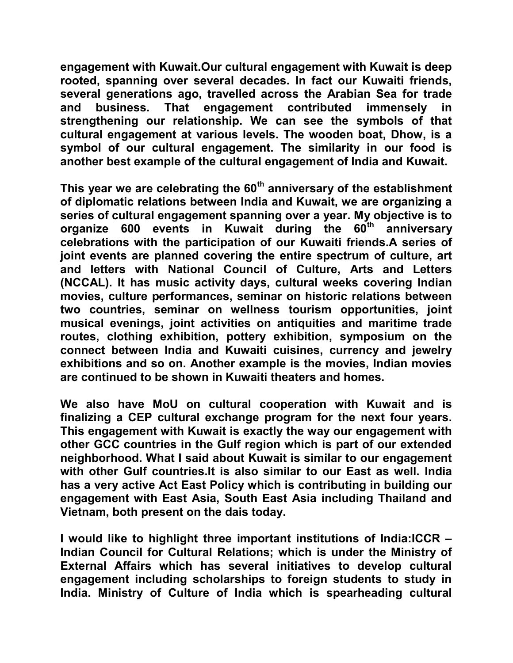engagement with Kuwait.Our cultural engagement with Kuwait is deep rooted, spanning over several decades. In fact our Kuwaiti friends, several generations ago, travelled across the Arabian Sea for trade and business. That engagement contributed immensely in strengthening our relationship. We can see the symbols of that cultural engagement at various levels. The wooden boat, Dhow, is a symbol of our cultural engagement. The similarity in our food is another best example of the cultural engagement of India and Kuwait.

This year we are celebrating the  $60<sup>th</sup>$  anniversary of the establishment of diplomatic relations between India and Kuwait, we are organizing a series of cultural engagement spanning over a year. My objective is to organize 600 events in Kuwait during the 60<sup>th</sup> anniversary celebrations with the participation of our Kuwaiti friends.A series of joint events are planned covering the entire spectrum of culture, art and letters with National Council of Culture, Arts and Letters (NCCAL). It has music activity days, cultural weeks covering Indian movies, culture performances, seminar on historic relations between two countries, seminar on wellness tourism opportunities, joint musical evenings, joint activities on antiquities and maritime trade routes, clothing exhibition, pottery exhibition, symposium on the connect between India and Kuwaiti cuisines, currency and jewelry exhibitions and so on. Another example is the movies, Indian movies are continued to be shown in Kuwaiti theaters and homes.

We also have MoU on cultural cooperation with Kuwait and is finalizing a CEP cultural exchange program for the next four years. This engagement with Kuwait is exactly the way our engagement with other GCC countries in the Gulf region which is part of our extended neighborhood. What I said about Kuwait is similar to our engagement with other Gulf countries.It is also similar to our East as well. India has a very active Act East Policy which is contributing in building our engagement with East Asia, South East Asia including Thailand and Vietnam, both present on the dais today.

I would like to highlight three important institutions of India:ICCR – Indian Council for Cultural Relations; which is under the Ministry of External Affairs which has several initiatives to develop cultural engagement including scholarships to foreign students to study in India. Ministry of Culture of India which is spearheading cultural